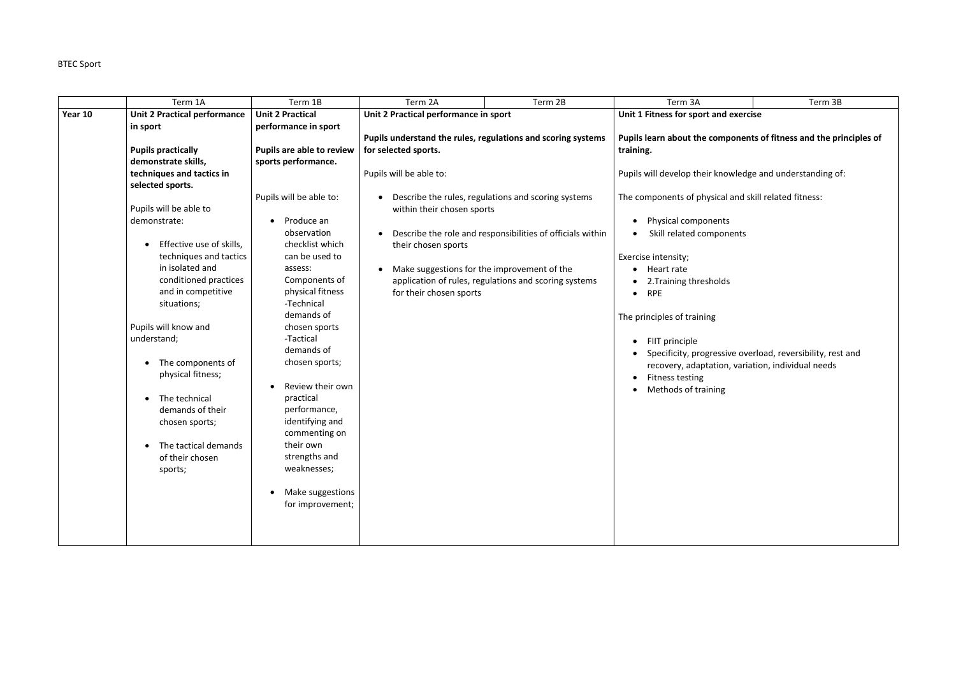## BTEC Sport

|         | Term 1A                             | Term 1B                   | Term 2A                                                      | Term 2B                                                    | Term 3A                                                            | Term 3B                                                    |
|---------|-------------------------------------|---------------------------|--------------------------------------------------------------|------------------------------------------------------------|--------------------------------------------------------------------|------------------------------------------------------------|
| Year 10 | <b>Unit 2 Practical performance</b> | <b>Unit 2 Practical</b>   | Unit 2 Practical performance in sport                        |                                                            | Unit 1 Fitness for sport and exercise                              |                                                            |
|         | in sport                            | performance in sport      |                                                              |                                                            |                                                                    |                                                            |
|         |                                     |                           | Pupils understand the rules, regulations and scoring systems |                                                            | Pupils learn about the components of fitness and the principles of |                                                            |
|         | <b>Pupils practically</b>           | Pupils are able to review | for selected sports.                                         |                                                            | training.                                                          |                                                            |
|         | demonstrate skills,                 | sports performance.       |                                                              |                                                            |                                                                    |                                                            |
|         | techniques and tactics in           |                           | Pupils will be able to:                                      |                                                            | Pupils will develop their knowledge and understanding of:          |                                                            |
|         | selected sports.                    |                           |                                                              |                                                            |                                                                    |                                                            |
|         | Pupils will be able to              | Pupils will be able to:   | within their chosen sports                                   | Describe the rules, regulations and scoring systems        | The components of physical and skill related fitness:              |                                                            |
|         | demonstrate:                        | Produce an<br>$\bullet$   |                                                              |                                                            | Physical components                                                |                                                            |
|         |                                     | observation               |                                                              | Describe the role and responsibilities of officials within | Skill related components                                           |                                                            |
|         | Effective use of skills,            | checklist which           | their chosen sports                                          |                                                            |                                                                    |                                                            |
|         | techniques and tactics              | can be used to            |                                                              |                                                            | Exercise intensity;                                                |                                                            |
|         | in isolated and                     | assess:                   | Make suggestions for the improvement of the                  |                                                            | Heart rate                                                         |                                                            |
|         | conditioned practices               | Components of             |                                                              | application of rules, regulations and scoring systems      | 2. Training thresholds                                             |                                                            |
|         | and in competitive                  | physical fitness          | for their chosen sports                                      |                                                            | <b>RPE</b><br>$\bullet$                                            |                                                            |
|         | situations;                         | -Technical                |                                                              |                                                            |                                                                    |                                                            |
|         |                                     | demands of                |                                                              |                                                            | The principles of training                                         |                                                            |
|         | Pupils will know and                | chosen sports             |                                                              |                                                            |                                                                    |                                                            |
|         | understand;                         | -Tactical                 |                                                              |                                                            | FIIT principle                                                     |                                                            |
|         |                                     | demands of                |                                                              |                                                            |                                                                    | Specificity, progressive overload, reversibility, rest and |
|         | The components of                   | chosen sports;            |                                                              |                                                            | recovery, adaptation, variation, individual needs                  |                                                            |
|         | physical fitness;                   |                           |                                                              |                                                            | Fitness testing                                                    |                                                            |
|         |                                     | Review their own          |                                                              |                                                            | Methods of training                                                |                                                            |
|         | The technical                       | practical                 |                                                              |                                                            |                                                                    |                                                            |
|         | demands of their                    | performance,              |                                                              |                                                            |                                                                    |                                                            |
|         | chosen sports;                      | identifying and           |                                                              |                                                            |                                                                    |                                                            |
|         |                                     | commenting on             |                                                              |                                                            |                                                                    |                                                            |
|         | The tactical demands                | their own                 |                                                              |                                                            |                                                                    |                                                            |
|         | of their chosen                     | strengths and             |                                                              |                                                            |                                                                    |                                                            |
|         | sports;                             | weaknesses;               |                                                              |                                                            |                                                                    |                                                            |
|         |                                     |                           |                                                              |                                                            |                                                                    |                                                            |
|         |                                     | Make suggestions          |                                                              |                                                            |                                                                    |                                                            |
|         |                                     | for improvement;          |                                                              |                                                            |                                                                    |                                                            |
|         |                                     |                           |                                                              |                                                            |                                                                    |                                                            |
|         |                                     |                           |                                                              |                                                            |                                                                    |                                                            |
|         |                                     |                           |                                                              |                                                            |                                                                    |                                                            |